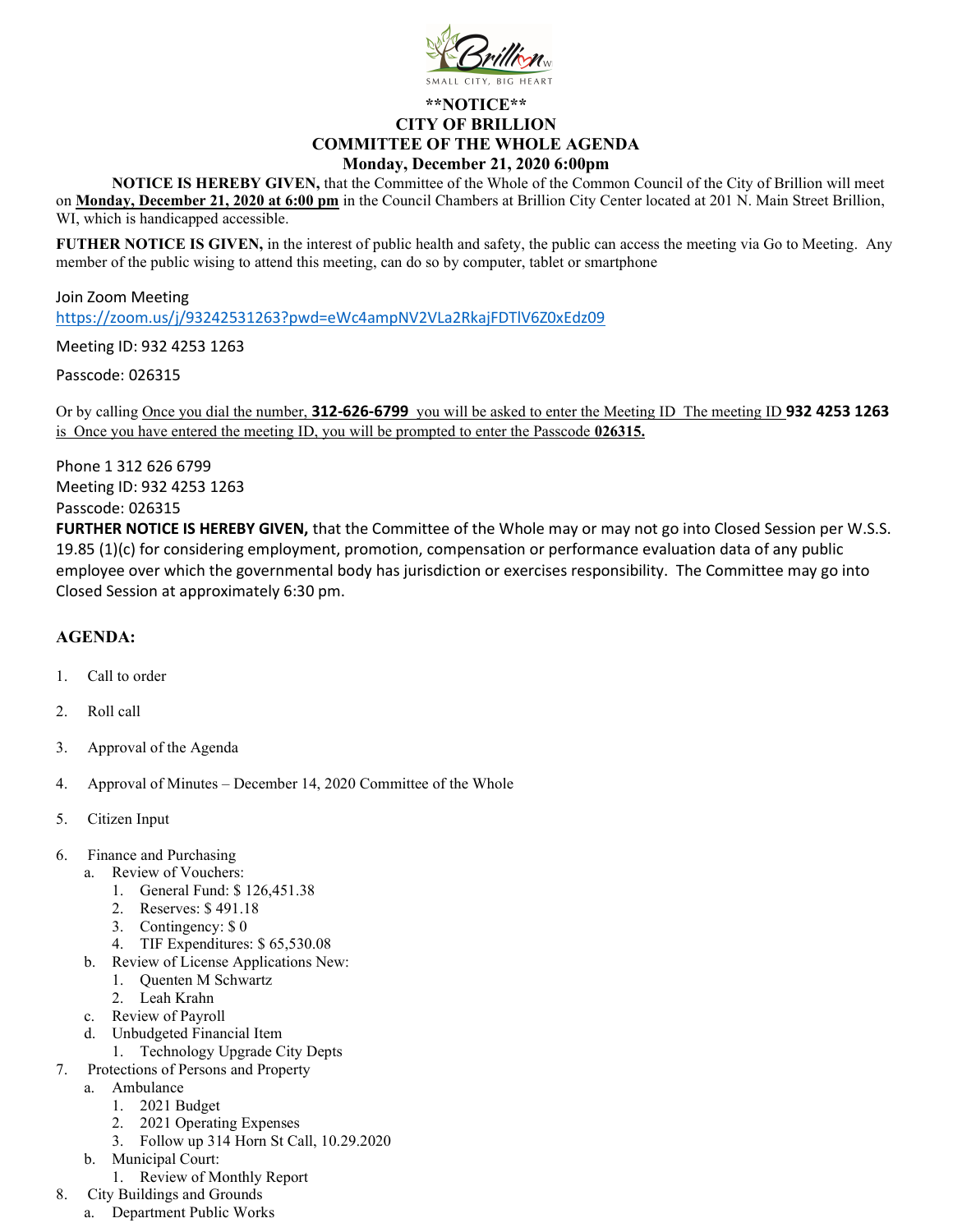

## \*\*NOTICE\*\* CITY OF BRILLION COMMITTEE OF THE WHOLE AGENDA Monday, December 21, 2020 6:00pm

NOTICE IS HEREBY GIVEN, that the Committee of the Whole of the Common Council of the City of Brillion will meet on Monday, December 21, 2020 at 6:00 pm in the Council Chambers at Brillion City Center located at 201 N. Main Street Brillion, WI, which is handicapped accessible.

FUTHER NOTICE IS GIVEN, in the interest of public health and safety, the public can access the meeting via Go to Meeting. Any member of the public wising to attend this meeting, can do so by computer, tablet or smartphone

Join Zoom Meeting https://zoom.us/j/93242531263?pwd=eWc4ampNV2VLa2RkajFDTlV6Z0xEdz09

Meeting ID: 932 4253 1263

Passcode: 026315

Or by calling Once you dial the number, 312-626-6799 you will be asked to enter the Meeting ID The meeting ID 932 4253 1263 is Once you have entered the meeting ID, you will be prompted to enter the Passcode 026315.

Phone 1 312 626 6799 Meeting ID: 932 4253 1263 Passcode: 026315

FURTHER NOTICE IS HEREBY GIVEN, that the Committee of the Whole may or may not go into Closed Session per W.S.S. 19.85 (1)(c) for considering employment, promotion, compensation or performance evaluation data of any public employee over which the governmental body has jurisdiction or exercises responsibility. The Committee may go into Closed Session at approximately 6:30 pm.

## AGENDA:

- 1. Call to order
- 2. Roll call
- 3. Approval of the Agenda
- 4. Approval of Minutes December 14, 2020 Committee of the Whole
- 5. Citizen Input
- 6. Finance and Purchasing
	- a. Review of Vouchers:
		- 1. General Fund: \$ 126,451.38
		- 2. Reserves: \$ 491.18
		- 3. Contingency: \$ 0
		- 4. TIF Expenditures: \$ 65,530.08
	- b. Review of License Applications New:
		- 1. Quenten M Schwartz
		- 2. Leah Krahn
	- c. Review of Payroll
	- d. Unbudgeted Financial Item
		- 1. Technology Upgrade City Depts
- 7. Protections of Persons and Property
	- a. Ambulance
		- 1. 2021 Budget
		- 2. 2021 Operating Expenses
		- 3. Follow up 314 Horn St Call, 10.29.2020
	- b. Municipal Court:
	- 1. Review of Monthly Report
- 8. City Buildings and Grounds
	- a. Department Public Works